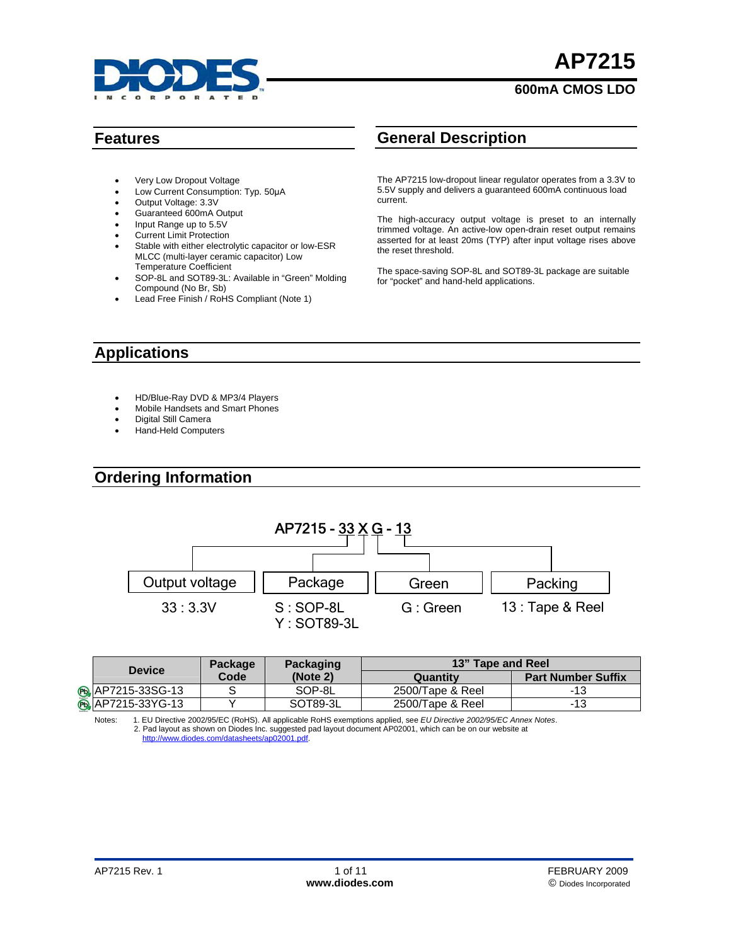

# **AP7215**

#### **600mA CMOS LDO**

- Very Low Dropout Voltage
- Low Current Consumption: Typ. 50μA
- Output Voltage: 3.3V
- Guaranteed 600mA Output
- Input Range up to 5.5V
- **Current Limit Protection**
- Stable with either electrolytic capacitor or low-ESR MLCC (multi-layer ceramic capacitor) Low Temperature Coefficient
- SOP-8L and SOT89-3L: Available in "Green" Molding Compound (No Br, Sb)
- Lead Free Finish / RoHS Compliant (Note 1)

# **Features General Description**

The AP7215 low-dropout linear regulator operates from a 3.3V to 5.5V supply and delivers a guaranteed 600mA continuous load current.

The high-accuracy output voltage is preset to an internally trimmed voltage. An active-low open-drain reset output remains asserted for at least 20ms (TYP) after input voltage rises above the reset threshold.

The space-saving SOP-8L and SOT89-3L package are suitable for "pocket" and hand-held applications.

### **Applications**

- HD/Blue-Ray DVD & MP3/4 Players
- Mobile Handsets and Smart Phones
- Digital Still Camera
- Hand-Held Computers

#### **Ordering Information**



| <b>Device</b>             | Package | <b>Packaging</b> | 13" Tape and Reel |                           |
|---------------------------|---------|------------------|-------------------|---------------------------|
|                           | Code    | (Note 2)         | Quantitv          | <b>Part Number Suffix</b> |
| <b>B</b> , AP7215-33SG-13 |         | SOP-8L           | 2500/Tape & Reel  | -13                       |
| <b>B</b> , AP7215-33YG-13 |         | SOT89-3L         | 2500/Tape & Reel  | -13                       |

Notes: 1. EU Directive 2002/95/EC (RoHS). All applicable RoHS exemptions applied, see *[EU Directive 2002/95/EC Annex Notes](http://eur-lex.europa.eu/LexUriServ/LexUriServ.do?uri=OJ:L:2003:037:0019:0023:EN:PDF)*. 2. Pad layout as shown on Diodes Inc. suggested pad layout document AP02001, which can be on our website at [http://www.diodes.com/datasheets/ap02001.pdf.](http://www.diodes.com/datasheets/ap02001.pdf)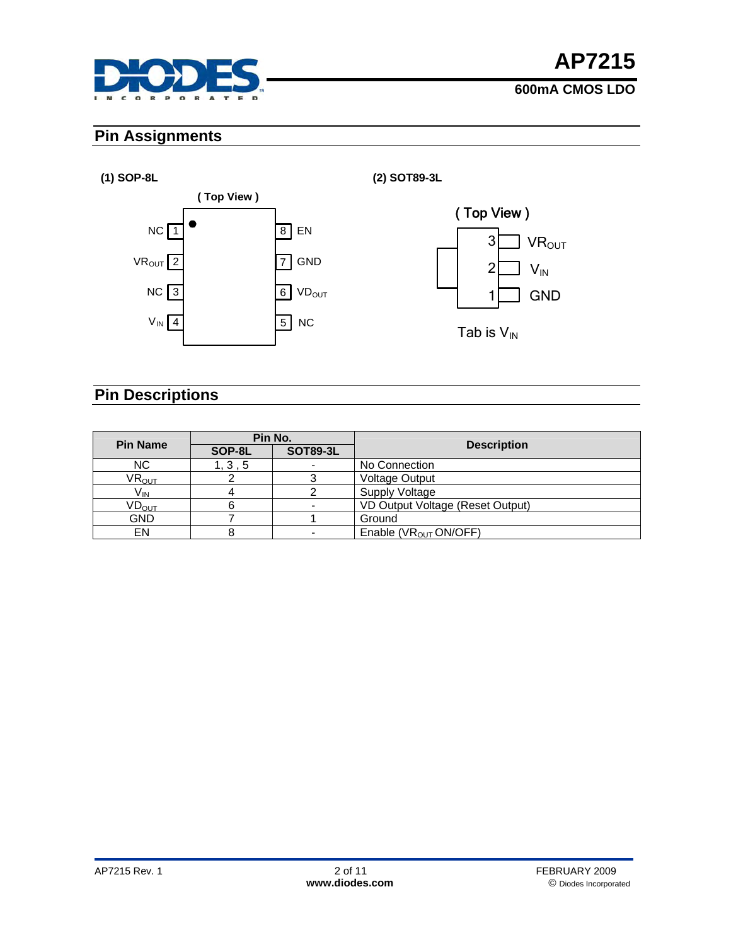

### **Pin Assignments**

#### **(1) SOP-8L (2) SOT89-3L**



### **Pin Descriptions**

| <b>Pin Name</b>              | Pin No. |                 |                                   |  |
|------------------------------|---------|-----------------|-----------------------------------|--|
|                              | SOP-8L  | <b>SOT89-3L</b> | <b>Description</b>                |  |
| NC.                          | 1, 3, 5 |                 | No Connection                     |  |
| $\mathsf{VR}_{\mathsf{OUT}}$ |         |                 | <b>Voltage Output</b>             |  |
| $V_{\text{IN}}$              |         |                 | Supply Voltage                    |  |
| $\mathsf{VD}_{\mathsf{OUT}}$ |         |                 | VD Output Voltage (Reset Output)  |  |
| <b>GND</b>                   |         |                 | Ground                            |  |
| EN                           |         |                 | Enable (VR <sub>OUT</sub> ON/OFF) |  |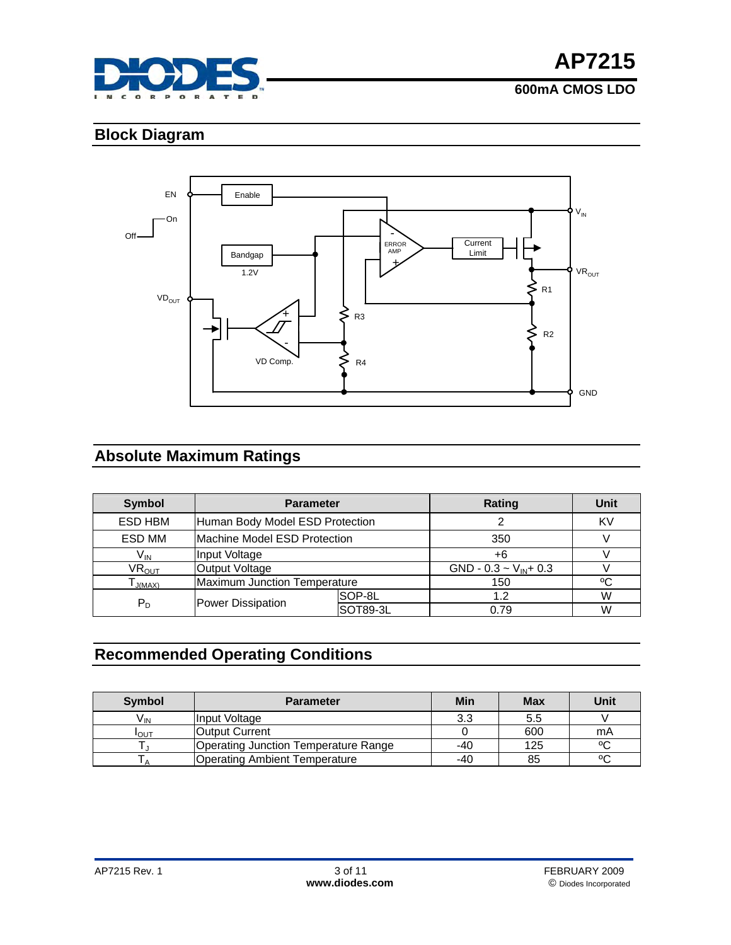

**AP7215**

# **600mA CMOS LDO**

# **Block Diagram**



# **Absolute Maximum Ratings**

| <b>Symbol</b>                | <b>Parameter</b>                |                              | Rating                     | Unit |  |    |
|------------------------------|---------------------------------|------------------------------|----------------------------|------|--|----|
| ESD HBM                      | Human Body Model ESD Protection |                              |                            |      |  | KV |
| ESD MM                       | Machine Model ESD Protection    |                              | 350                        |      |  |    |
| $V_{\text{IN}}$              | Input Voltage                   |                              | +6                         |      |  |    |
| $\mathsf{VR}_{\mathsf{OUT}}$ | Output Voltage                  |                              | GND - 0.3 ~ $V_{IN}$ + 0.3 |      |  |    |
| J(MAX)                       |                                 | Maximum Junction Temperature |                            | ٥C   |  |    |
|                              | Power Dissipation               | SOP-8L                       | 1.2                        | W    |  |    |
| $P_D$                        |                                 | SOT89-3L                     | 0.79                       | W    |  |    |

# **Recommended Operating Conditions**

| Symbol       | <b>Parameter</b>                     | Min | Max | Unit |
|--------------|--------------------------------------|-----|-----|------|
| V'ın         | Input Voltage                        | 3.3 | 5.5 |      |
| <b>I</b> OUT | <b>Output Current</b>                |     | 600 | mA   |
|              | Operating Junction Temperature Range | -40 | 125 | ٥C   |
|              | <b>Operating Ambient Temperature</b> | -40 | 85  | ٥ω   |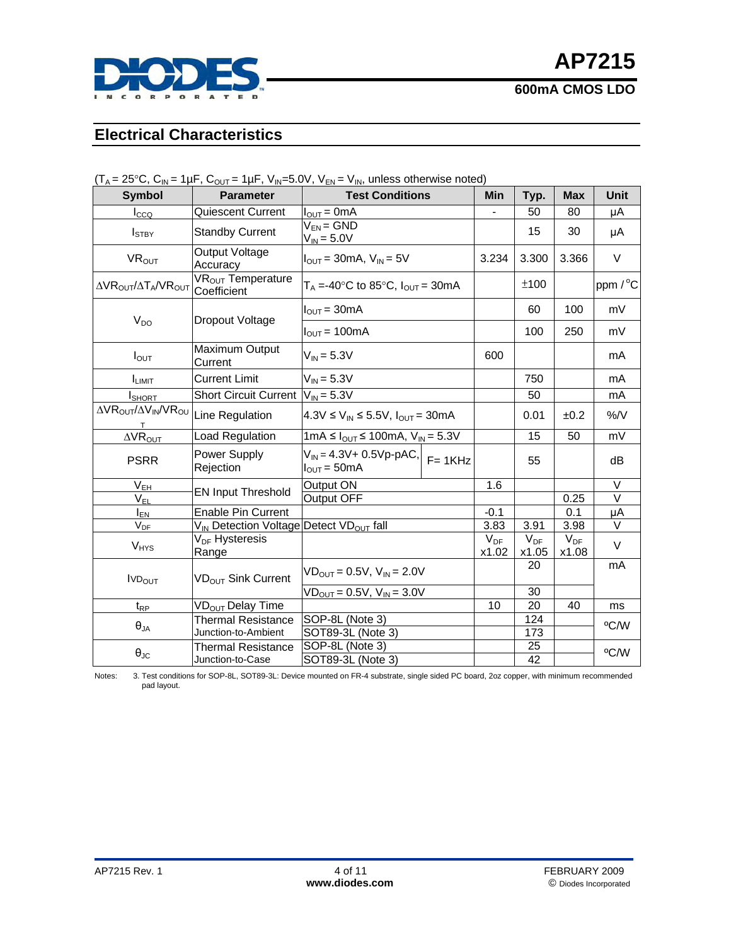

### **Electrical Characteristics**

| <b>Symbol</b>                                          | <b>Parameter</b>                                                | <b>Test Conditions</b>                                                        | <b>Min</b>        | Typ.              | <b>Max</b>        | <b>Unit</b>       |  |
|--------------------------------------------------------|-----------------------------------------------------------------|-------------------------------------------------------------------------------|-------------------|-------------------|-------------------|-------------------|--|
| $I_{CCQ}$                                              | Quiescent Current                                               | $I_{\text{OUT}} = 0$ mA                                                       |                   | 50                | 80                | μA                |  |
| $I_{\text{STBY}}$                                      | <b>Standby Current</b>                                          | $V_{EN} = GND$<br>$V_{IN} = 5.0V$                                             |                   | 15                | 30                | μA                |  |
| VR <sub>OUT</sub>                                      | Output Voltage<br>Accuracy                                      | $I_{\text{OUT}}$ = 30mA, $V_{\text{IN}}$ = 5V                                 | 3.234             | 3.300             | 3.366             | V                 |  |
| ΔVR <sub>OUT</sub> /ΔT <sub>A</sub> /VR <sub>OUT</sub> | VR <sub>OUT</sub> Temperature<br>Coefficient                    | $T_A = -40$ °C to 85 °C, $I_{OUT} = 30$ mA                                    |                   | ±100              |                   | ppm / °C          |  |
| $V_{DO}$                                               | Dropout Voltage                                                 | $I_{\text{OUT}} = 30 \text{mA}$                                               |                   | 60                | 100               | mV                |  |
|                                                        |                                                                 | $I_{\text{OUT}} = 100 \text{mA}$                                              |                   | 100               | 250               | mV                |  |
| $I_{\text{OUT}}$                                       | Maximum Output<br>Current                                       | $V_{IN} = 5.3V$                                                               | 600               |                   |                   | mA                |  |
| <b>I</b> LIMIT                                         | <b>Current Limit</b>                                            | $V_{IN} = 5.3V$                                                               |                   | 750               |                   | mA                |  |
| <b>I</b> SHORT                                         | <b>Short Circuit Current</b>                                    | $V_{IN} = 5.3V$                                                               |                   | 50                |                   | mA                |  |
| ΔVR <sub>OUT</sub> /ΔV <sub>IN</sub> /VR <sub>OU</sub> | Line Regulation                                                 | 4.3V ≤ $V_{IN}$ ≤ 5.5V, $I_{OUT}$ = 30mA                                      |                   | 0.01              | ±0.2              | %/V               |  |
| $\Delta$ VR <sub>OUT</sub>                             | Load Regulation                                                 | 1mA ≤ $I_{OUT}$ ≤ 100mA, $V_{IN}$ = 5.3V                                      |                   | 15                | 50                | mV                |  |
| <b>PSRR</b>                                            | Power Supply<br>Rejection                                       | $V_{IN} = 4.3V + 0.5Vp-pAC,$<br>$F = 1KHz$<br>$I_{\text{OUT}} = 50 \text{mA}$ |                   | 55                |                   | dB                |  |
| $V_{EH}$                                               |                                                                 | Output ON                                                                     | 1.6               |                   |                   | $\overline{\vee}$ |  |
| $V_{EL}$                                               | <b>EN Input Threshold</b>                                       | <b>Output OFF</b>                                                             |                   |                   | 0.25              | $\vee$            |  |
| $I_{EN}$                                               | <b>Enable Pin Current</b>                                       |                                                                               | $-0.1$            |                   | 0.1               | μA                |  |
| $V_{DF}$                                               | V <sub>IN</sub> Detection Voltage Detect VD <sub>OUT</sub> fall |                                                                               | 3.83              | 3.91              | 3.98              | $\vee$            |  |
| $V_{HYS}$                                              | V <sub>DF</sub> Hysteresis<br>Range                             |                                                                               | $V_{DF}$<br>x1.02 | $V_{DF}$<br>x1.05 | $V_{DF}$<br>x1.08 | $\vee$            |  |
| <b>IVDOUT</b>                                          | VD <sub>OUT</sub> Sink Current                                  | $VD_{OUT} = 0.5V, V_{IN} = 2.0V$                                              |                   | 20                |                   | mA                |  |
|                                                        |                                                                 | $VD_{OUT} = 0.5V, V_{IN} = 3.0V$                                              |                   | 30                |                   |                   |  |
| $t_{RP}$                                               | VD <sub>OUT</sub> Delay Time                                    |                                                                               | 10                | 20                | 40                | ms                |  |
|                                                        | Thermal Resistance                                              | SOP-8L (Note 3)                                                               |                   | 124               |                   | °C/W              |  |
| $\theta_{JA}$                                          | Junction-to-Ambient                                             | SOT89-3L (Note 3)                                                             |                   | 173               |                   |                   |  |
|                                                        | <b>Thermal Resistance</b>                                       | SOP-8L (Note 3)                                                               |                   | 25                |                   | °C/W              |  |
| $\theta_{\text{JC}}$                                   | Junction-to-Case                                                | SOT89-3L (Note 3)<br>42                                                       |                   |                   |                   |                   |  |

 $(T_A = 25^{\circ}C, C_{IN} = 1 \mu F, C_{OUT} = 1 \mu F, V_{IN} = 5.0 V, V_{EN} = V_{IN}$ , unless otherwise noted)

Notes: 3. Test conditions for SOP-8L, SOT89-3L: Device mounted on FR-4 substrate, single sided PC board, 2oz copper, with minimum recommended pad layout.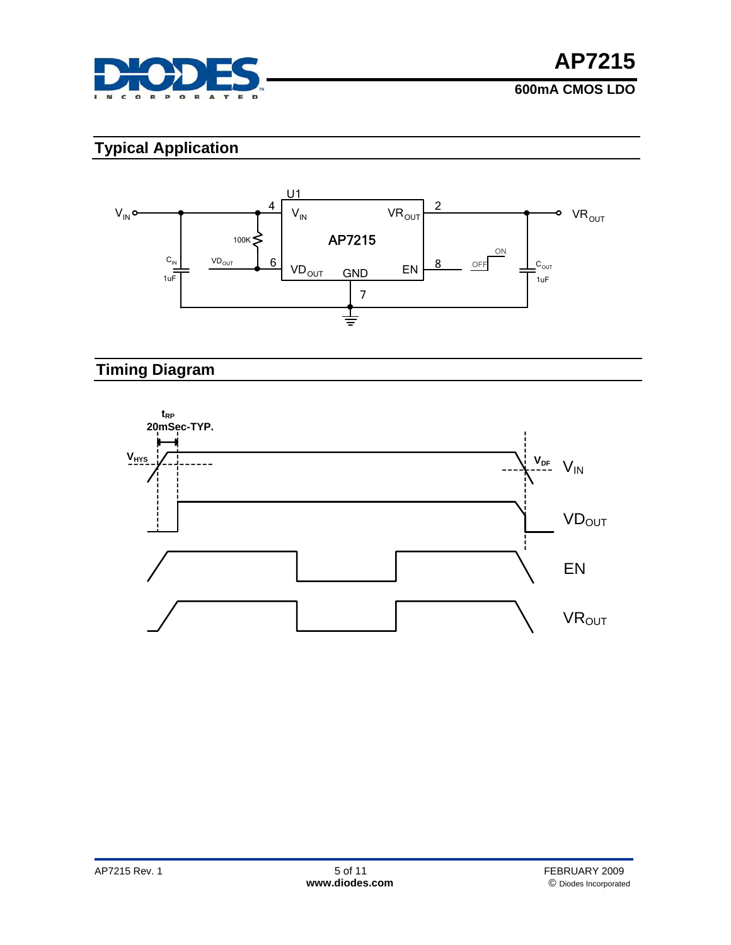

# **Typical Application**



# **Timing Diagram**

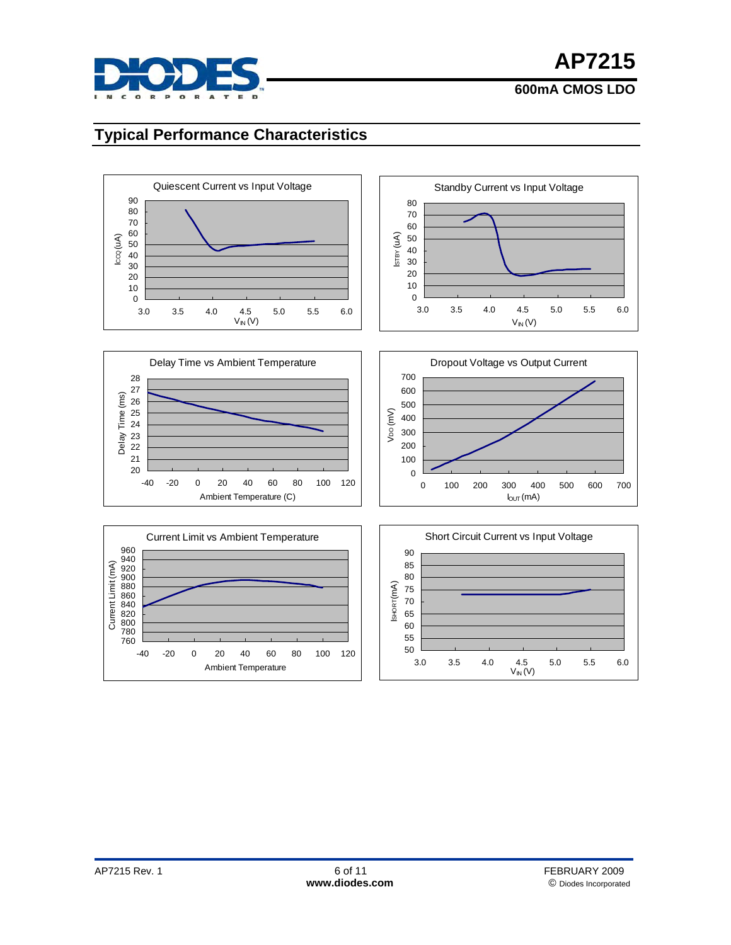

### **Typical Performance Characteristics**

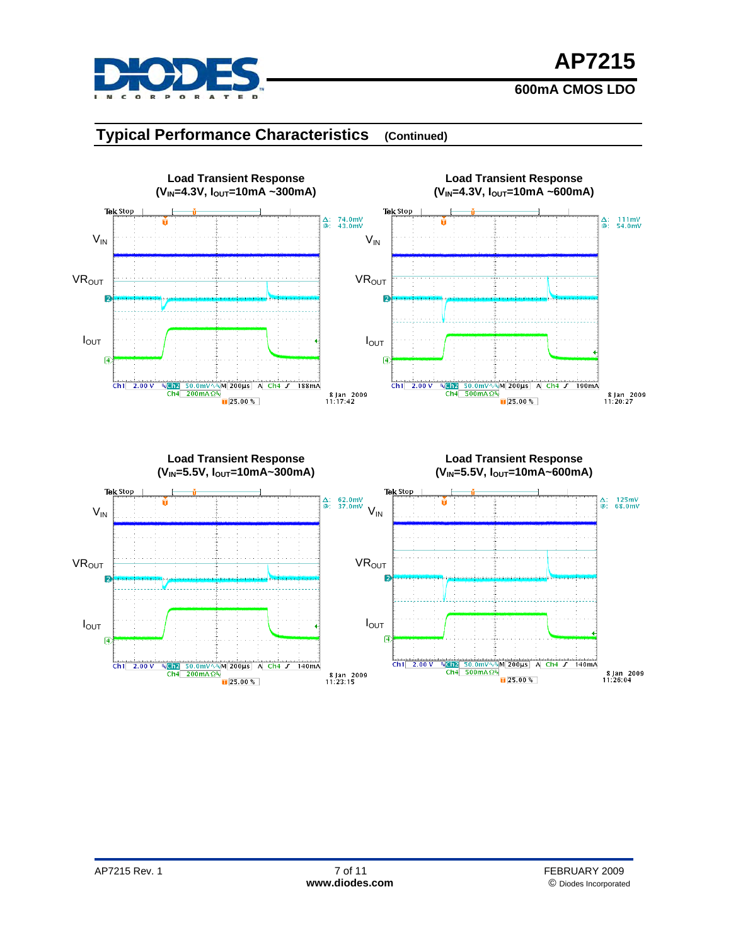

# **AP7215**

#### **600mA CMOS LDO**

### **Typical Performance Characteristics (Continued)**



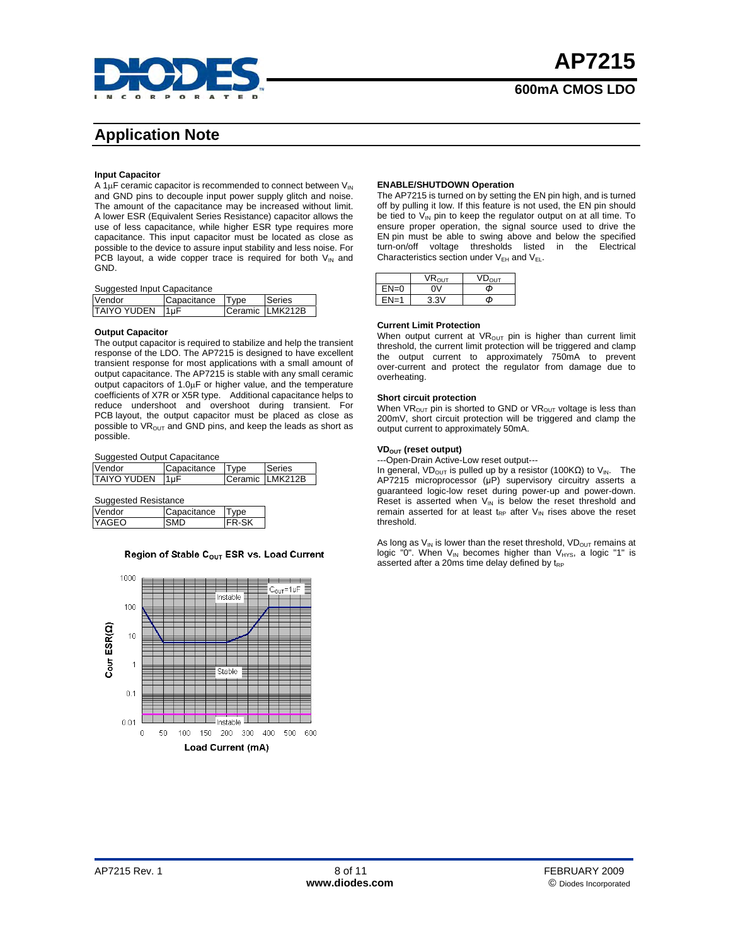

# **Application Note**

#### **Input Capacitor**

A 1 $\mu$ F ceramic capacitor is recommended to connect between  $V_{\text{IN}}$ and GND pins to decouple input power supply glitch and noise. The amount of the capacitance may be increased without limit. A lower ESR (Equivalent Series Resistance) capacitor allows the use of less capacitance, while higher ESR type requires more capacitance. This input capacitor must be located as close as possible to the device to assure input stability and less noise. For PCB layout, a wide copper trace is required for both  $V_{\text{IN}}$  and GND.

#### Suggested Input Capacitance

| Vendor          | Capacitance Type |  | Series          |  |  |
|-----------------|------------------|--|-----------------|--|--|
| TAIYO YUDEN 1µF |                  |  | Ceramic LMK212B |  |  |

#### **Output Capacitor**

The output capacitor is required to stabilize and help the transient response of the LDO. The AP7215 is designed to have excellent transient response for most applications with a small amount of output capacitance. The AP7215 is stable with any small ceramic output capacitors of 1.0μF or higher value, and the temperature coefficients of X7R or X5R type. Additional capacitance helps to reduce undershoot and overshoot during transient. For PCB layout, the output capacitor must be placed as close as possible to  $VR<sub>OUT</sub>$  and GND pins, and keep the leads as short as possible.

Suggested Output Capacitance

| Vendor       | Capacitance | Type | Series          |
|--------------|-------------|------|-----------------|
| ITAIYO YUDEN | 11uF        |      | Ceramic LMK212B |

Suggested Resistance

| .       |             |     |  |  |
|---------|-------------|-----|--|--|
| Vendor  | Capacitance | 'ne |  |  |
| IYAGEO. |             |     |  |  |

#### Region of Stable C<sub>OUT</sub> ESR vs. Load Current



#### **ENABLE/SHUTDOWN Operation**

The AP7215 is turned on by setting the EN pin high, and is turned off by pulling it low. If this feature is not used, the EN pin should be tied to  $V_{IN}$  pin to keep the regulator output on at all time. To ensure proper operation, the signal source used to drive the EN pin must be able to swing above and below the specified turn-on/off voltage thresholds listed in the Electrical Characteristics section under  $V_{EH}$  and  $V_{EL}$ .

|          | $\mathsf{VR}_{\mathsf{O}\mathsf{I}\mathsf{IT}}$ | דו וח |
|----------|-------------------------------------------------|-------|
| $EN=0$   | ٦V                                              | Φ     |
| $FN = 1$ | 3.3V                                            | Φ     |

#### **Current Limit Protection**

When output current at  $VR<sub>OUT</sub>$  pin is higher than current limit threshold, the current limit protection will be triggered and clamp the output current to approximately 750mA to prevent over-current and protect the regulator from damage due to overheating.

#### **Short circuit protection**

When  $VR_{OUT}$  pin is shorted to GND or  $VR_{OUT}$  voltage is less than 200mV, short circuit protection will be triggered and clamp the output current to approximately 50mA.

#### **VDOUT (reset output)**

---Open-Drain Active-Low reset output---

In general, VD<sub>OUT</sub> is pulled up by a resistor (100KΩ) to V<sub>IN</sub>. The AP7215 microprocessor (μP) supervisory circuitry asserts a guaranteed logic-low reset during power-up and power-down. Reset is asserted when  $V_{\text{IN}}$  is below the reset threshold and remain asserted for at least  $t_{RP}$  after  $V_{IN}$  rises above the reset threshold.

As long as  $V_{IN}$  is lower than the reset threshold,  $VD_{OUT}$  remains at logic "0". When  $V_{IN}$  becomes higher than  $V_{HYS}$ , a logic "1" is asserted after a 20ms time delay defined by  $t_{RP}$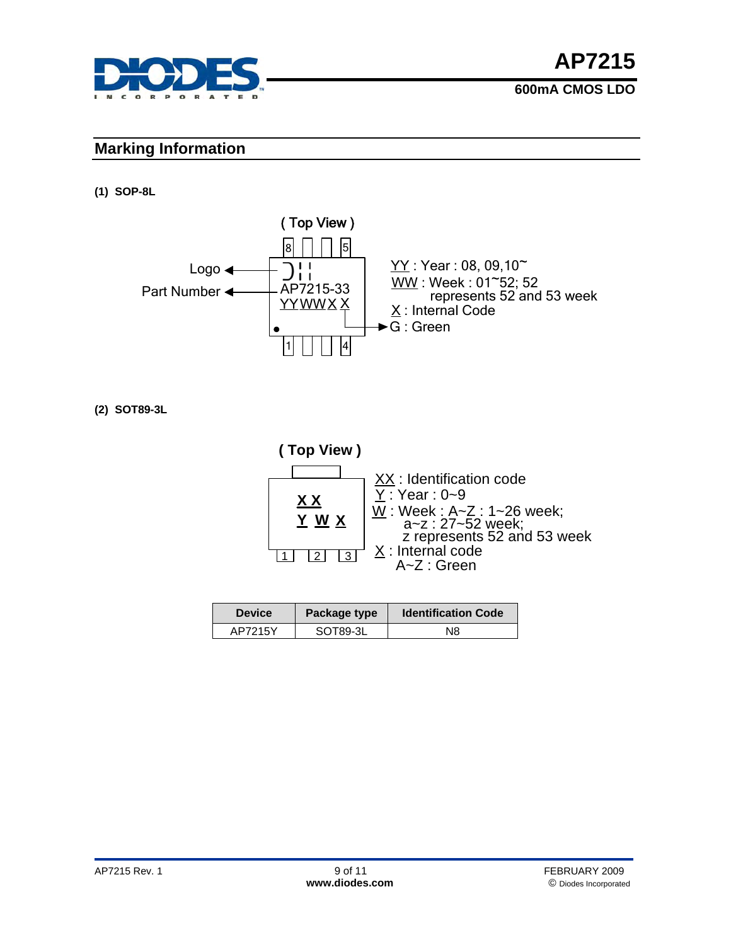

#### **Marking Information**

**(1) SOP-8L** 



**(2) SOT89-3L** 



| <b>Device</b> | Package type | <b>Identification Code</b> |
|---------------|--------------|----------------------------|
| AP7215Y       | SOT89-3L     | N8                         |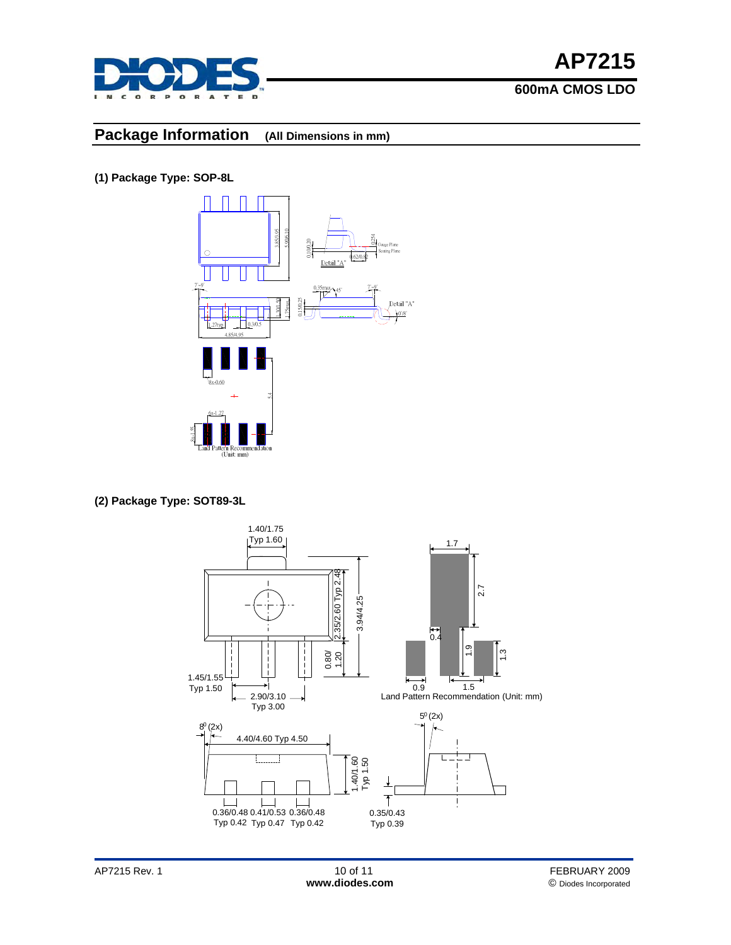

#### **Package Information (All Dimensions in mm)**

**(1) Package Type: SOP-8L** 



**(2) Package Type: SOT89-3L**